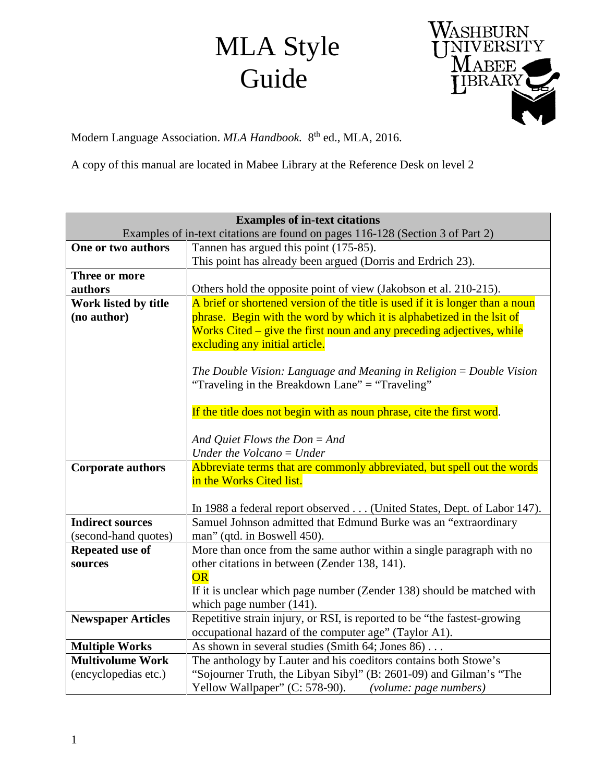## MLA Style Guide



Modern Language Association. *MLA Handbook.* 8th ed., MLA, 2016.

A copy of this manual are located in Mabee Library at the Reference Desk on level 2

| <b>Examples of in-text citations</b>    |                                                                                                      |
|-----------------------------------------|------------------------------------------------------------------------------------------------------|
|                                         | Examples of in-text citations are found on pages 116-128 (Section 3 of Part 2)                       |
| One or two authors                      | Tannen has argued this point (175-85).                                                               |
|                                         | This point has already been argued (Dorris and Erdrich 23).                                          |
| Three or more                           |                                                                                                      |
| authors                                 | Others hold the opposite point of view (Jakobson et al. 210-215).                                    |
| Work listed by title                    | A brief or shortened version of the title is used if it is longer than a noun                        |
| (no author)                             | phrase. Begin with the word by which it is alphabetized in the lsit of                               |
|                                         | Works Cited – give the first noun and any preceding adjectives, while                                |
|                                         | excluding any initial article.                                                                       |
|                                         |                                                                                                      |
|                                         | The Double Vision: Language and Meaning in Religion $=$ Double Vision                                |
|                                         | "Traveling in the Breakdown Lane" = "Traveling"                                                      |
|                                         |                                                                                                      |
|                                         | If the title does not begin with as noun phrase, cite the first word.                                |
|                                         |                                                                                                      |
|                                         | And Quiet Flows the $Don = And$                                                                      |
|                                         | Under the Volcano $=$ Under                                                                          |
| <b>Corporate authors</b>                | Abbreviate terms that are commonly abbreviated, but spell out the words                              |
|                                         | in the Works Cited list.                                                                             |
|                                         |                                                                                                      |
| <b>Indirect sources</b>                 | In 1988 a federal report observed (United States, Dept. of Labor 147).                               |
|                                         | Samuel Johnson admitted that Edmund Burke was an "extraordinary                                      |
| (second-hand quotes)<br>Repeated use of | man" (qtd. in Boswell 450).<br>More than once from the same author within a single paragraph with no |
| sources                                 | other citations in between (Zender 138, 141).                                                        |
|                                         | <b>OR</b>                                                                                            |
|                                         | If it is unclear which page number (Zender 138) should be matched with                               |
|                                         | which page number (141).                                                                             |
| <b>Newspaper Articles</b>               | Repetitive strain injury, or RSI, is reported to be "the fastest-growing                             |
|                                         | occupational hazard of the computer age" (Taylor A1).                                                |
| <b>Multiple Works</b>                   | As shown in several studies (Smith 64; Jones 86)                                                     |
| <b>Multivolume Work</b>                 | The anthology by Lauter and his coeditors contains both Stowe's                                      |
| (encyclopedias etc.)                    | "Sojourner Truth, the Libyan Sibyl" (B: 2601-09) and Gilman's "The                                   |
|                                         | Yellow Wallpaper" (C: 578-90).<br>(volume: page numbers)                                             |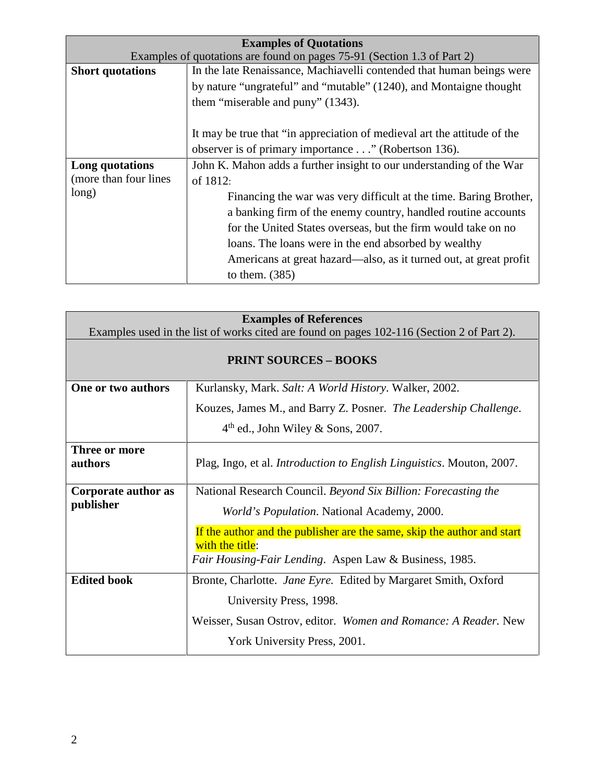| <b>Examples of Quotations</b>                                           |                                                                          |
|-------------------------------------------------------------------------|--------------------------------------------------------------------------|
| Examples of quotations are found on pages 75-91 (Section 1.3 of Part 2) |                                                                          |
| <b>Short quotations</b>                                                 | In the late Renaissance, Machiavelli contended that human beings were    |
|                                                                         | by nature "ungrateful" and "mutable" (1240), and Montaigne thought       |
|                                                                         | them "miserable and puny" (1343).                                        |
|                                                                         |                                                                          |
|                                                                         | It may be true that "in appreciation of medieval art the attitude of the |
|                                                                         | observer is of primary importance" (Robertson 136).                      |
| Long quotations                                                         | John K. Mahon adds a further insight to our understanding of the War     |
| (more than four lines                                                   | of 1812:                                                                 |
| long)                                                                   | Financing the war was very difficult at the time. Baring Brother,        |
|                                                                         | a banking firm of the enemy country, handled routine accounts            |
|                                                                         | for the United States overseas, but the firm would take on no            |
|                                                                         | loans. The loans were in the end absorbed by wealthy                     |
|                                                                         | Americans at great hazard—also, as it turned out, at great profit        |
|                                                                         | to them. $(385)$                                                         |

| <b>Examples of References</b>                                                              |                                                                                                                                                                                                                                                                              |
|--------------------------------------------------------------------------------------------|------------------------------------------------------------------------------------------------------------------------------------------------------------------------------------------------------------------------------------------------------------------------------|
| Examples used in the list of works cited are found on pages 102-116 (Section 2 of Part 2). |                                                                                                                                                                                                                                                                              |
| <b>PRINT SOURCES - BOOKS</b>                                                               |                                                                                                                                                                                                                                                                              |
| One or two authors                                                                         | Kurlansky, Mark. Salt: A World History. Walker, 2002.                                                                                                                                                                                                                        |
|                                                                                            | Kouzes, James M., and Barry Z. Posner. The Leadership Challenge.                                                                                                                                                                                                             |
|                                                                                            | $4th$ ed., John Wiley & Sons, 2007.                                                                                                                                                                                                                                          |
| Three or more<br>authors                                                                   | Plag, Ingo, et al. <i>Introduction to English Linguistics</i> . Mouton, 2007.                                                                                                                                                                                                |
| Corporate author as<br>publisher                                                           | National Research Council. Beyond Six Billion: Forecasting the<br><i>World's Population.</i> National Academy, 2000.<br>If the author and the publisher are the same, skip the author and start<br>with the title:<br>Fair Housing-Fair Lending. Aspen Law & Business, 1985. |
| <b>Edited book</b>                                                                         | Bronte, Charlotte. Jane Eyre. Edited by Margaret Smith, Oxford<br>University Press, 1998.<br>Weisser, Susan Ostrov, editor. Women and Romance: A Reader. New<br>York University Press, 2001.                                                                                 |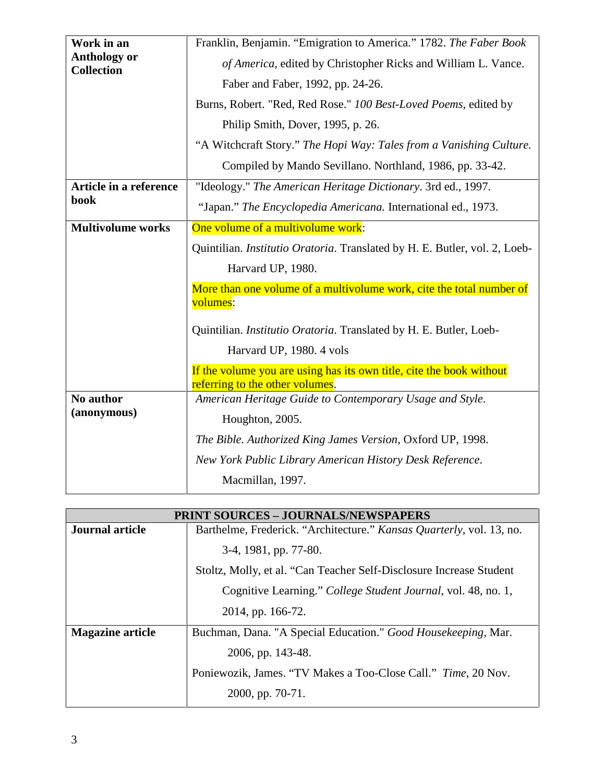| Work in an                               | Franklin, Benjamin. "Emigration to America." 1782. The Faber Book          |
|------------------------------------------|----------------------------------------------------------------------------|
| <b>Anthology or</b><br><b>Collection</b> | of America, edited by Christopher Ricks and William L. Vance.              |
|                                          | Faber and Faber, 1992, pp. 24-26.                                          |
|                                          | Burns, Robert. "Red, Red Rose." 100 Best-Loved Poems, edited by            |
|                                          | Philip Smith, Dover, 1995, p. 26.                                          |
|                                          | "A Witchcraft Story." The Hopi Way: Tales from a Vanishing Culture.        |
|                                          | Compiled by Mando Sevillano. Northland, 1986, pp. 33-42.                   |
| Article in a reference                   | "Ideology." The American Heritage Dictionary. 3rd ed., 1997.               |
| book                                     | "Japan." The Encyclopedia Americana. International ed., 1973.              |
| <b>Multivolume works</b>                 | One volume of a multivolume work:                                          |
|                                          | Quintilian. Institutio Oratoria. Translated by H. E. Butler, vol. 2, Loeb- |
|                                          |                                                                            |
|                                          | Harvard UP, 1980.                                                          |
|                                          | More than one volume of a multivolume work, cite the total number of       |
|                                          | volumes:                                                                   |
|                                          | Quintilian. Institutio Oratoria. Translated by H. E. Butler, Loeb-         |
|                                          | Harvard UP, 1980. 4 vols                                                   |
|                                          | If the volume you are using has its own title, cite the book without       |
|                                          | referring to the other volumes.                                            |
| No author                                | American Heritage Guide to Contemporary Usage and Style.                   |
| (anonymous)                              | Houghton, 2005.                                                            |
|                                          | The Bible. Authorized King James Version, Oxford UP, 1998.                 |
|                                          | New York Public Library American History Desk Reference.                   |

| <b>PRINT SOURCES - JOURNALS/NEWSPAPERS</b> |                                                                      |
|--------------------------------------------|----------------------------------------------------------------------|
| <b>Journal article</b>                     | Barthelme, Frederick. "Architecture." Kansas Quarterly, vol. 13, no. |
|                                            | 3-4, 1981, pp. 77-80.                                                |
|                                            | Stoltz, Molly, et al. "Can Teacher Self-Disclosure Increase Student  |
|                                            | Cognitive Learning." College Student Journal, vol. 48, no. 1,        |
|                                            | 2014, pp. 166-72.                                                    |
| <b>Magazine article</b>                    | Buchman, Dana. "A Special Education." Good Housekeeping, Mar.        |
|                                            | 2006, pp. 143-48.                                                    |
|                                            | Poniewozik, James. "TV Makes a Too-Close Call." Time, 20 Nov.        |
|                                            | 2000, pp. 70-71.                                                     |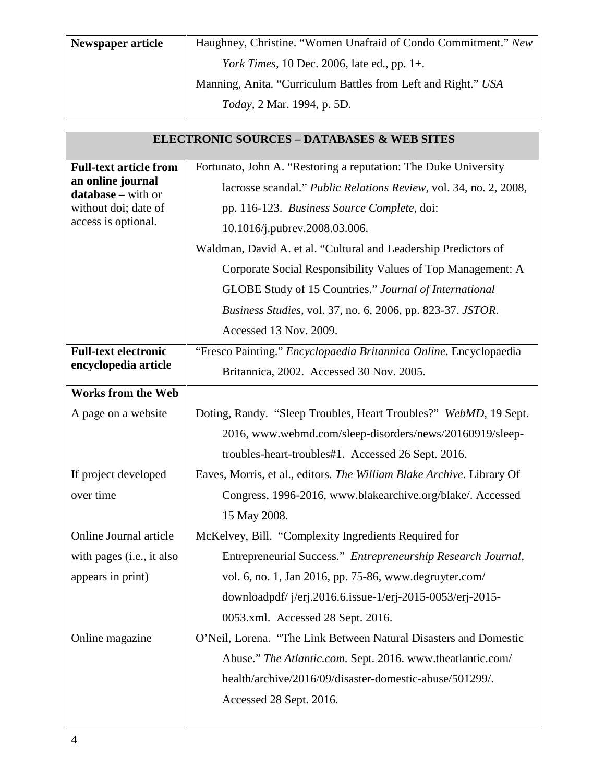| Newspaper article | Haughney, Christine. "Women Unafraid of Condo Commitment." New |
|-------------------|----------------------------------------------------------------|
|                   | <i>York Times</i> , 10 Dec. 2006, late ed., pp. 1+.            |
|                   | Manning, Anita. "Curriculum Battles from Left and Right." USA  |
|                   | <i>Today</i> , 2 Mar. 1994, p. 5D.                             |

| <b>ELECTRONIC SOURCES - DATABASES &amp; WEB SITES</b> |                                                                       |
|-------------------------------------------------------|-----------------------------------------------------------------------|
| <b>Full-text article from</b>                         | Fortunato, John A. "Restoring a reputation: The Duke University       |
| an online journal<br>database - with or               | lacrosse scandal." Public Relations Review, vol. 34, no. 2, 2008,     |
| without doi; date of                                  | pp. 116-123. Business Source Complete, doi:                           |
| access is optional.                                   | 10.1016/j.pubrev.2008.03.006.                                         |
|                                                       | Waldman, David A. et al. "Cultural and Leadership Predictors of       |
|                                                       | Corporate Social Responsibility Values of Top Management: A           |
|                                                       | GLOBE Study of 15 Countries." Journal of International                |
|                                                       | Business Studies, vol. 37, no. 6, 2006, pp. 823-37. JSTOR.            |
|                                                       | Accessed 13 Nov. 2009.                                                |
| <b>Full-text electronic</b>                           | "Fresco Painting." Encyclopaedia Britannica Online. Encyclopaedia     |
| encyclopedia article                                  | Britannica, 2002. Accessed 30 Nov. 2005.                              |
| <b>Works from the Web</b>                             |                                                                       |
| A page on a website                                   | Doting, Randy. "Sleep Troubles, Heart Troubles?" WebMD, 19 Sept.      |
|                                                       | 2016, www.webmd.com/sleep-disorders/news/20160919/sleep-              |
|                                                       | troubles-heart-troubles#1. Accessed 26 Sept. 2016.                    |
| If project developed                                  | Eaves, Morris, et al., editors. The William Blake Archive. Library Of |
| over time                                             | Congress, 1996-2016, www.blakearchive.org/blake/. Accessed            |
|                                                       | 15 May 2008.                                                          |
| Online Journal article                                | McKelvey, Bill. "Complexity Ingredients Required for                  |
| with pages ( <i>i.e.</i> , <i>it also</i>             | Entrepreneurial Success." Entrepreneurship Research Journal,          |
| appears in print)                                     | vol. 6, no. 1, Jan 2016, pp. 75-86, www.degruyter.com/                |
|                                                       | downloadpdf/ j/erj.2016.6.issue-1/erj-2015-0053/erj-2015-             |
|                                                       | 0053.xml. Accessed 28 Sept. 2016.                                     |
| Online magazine                                       | O'Neil, Lorena. "The Link Between Natural Disasters and Domestic      |
|                                                       | Abuse." The Atlantic.com. Sept. 2016. www.theatlantic.com/            |
|                                                       | health/archive/2016/09/disaster-domestic-abuse/501299/.               |
|                                                       | Accessed 28 Sept. 2016.                                               |